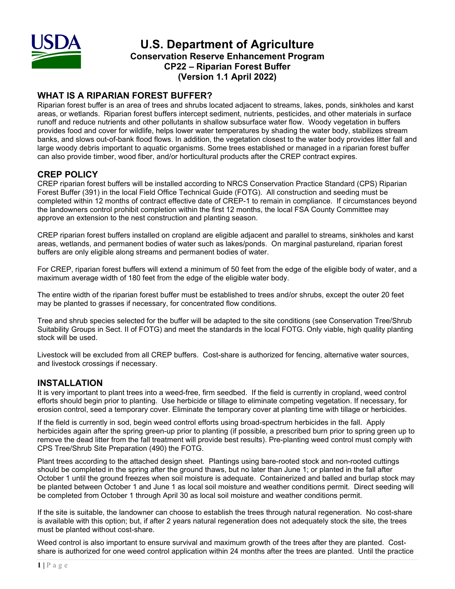

# **U.S. Department of Agriculture Conservation Reserve Enhancement Program CP22 – Riparian Forest Buffer (Version 1.1 April 2022)**

## **WHAT IS A RIPARIAN FOREST BUFFER?**

Riparian forest buffer is an area of trees and shrubs located adjacent to streams, lakes, ponds, sinkholes and karst areas, or wetlands. Riparian forest buffers intercept sediment, nutrients, pesticides, and other materials in surface runoff and reduce nutrients and other pollutants in shallow subsurface water flow. Woody vegetation in buffers provides food and cover for wildlife, helps lower water temperatures by shading the water body, stabilizes stream banks, and slows out-of-bank flood flows. In addition, the vegetation closest to the water body provides litter fall and large woody debris important to aquatic organisms. Some trees established or managed in a riparian forest buffer can also provide timber, wood fiber, and/or horticultural products after the CREP contract expires.

### **CREP POLICY**

CREP riparian forest buffers will be installed according to NRCS Conservation Practice Standard (CPS) Riparian Forest Buffer (391) in the local Field Office Technical Guide (FOTG). All construction and seeding must be completed within 12 months of contract effective date of CREP-1 to remain in compliance. If circumstances beyond the landowners control prohibit completion within the first 12 months, the local FSA County Committee may approve an extension to the nest construction and planting season.

CREP riparian forest buffers installed on cropland are eligible adjacent and parallel to streams, sinkholes and karst areas, wetlands, and permanent bodies of water such as lakes/ponds. On marginal pastureland, riparian forest buffers are only eligible along streams and permanent bodies of water.

For CREP, riparian forest buffers will extend a minimum of 50 feet from the edge of the eligible body of water, and a maximum average width of 180 feet from the edge of the eligible water body.

The entire width of the riparian forest buffer must be established to trees and/or shrubs, except the outer 20 feet may be planted to grasses if necessary, for concentrated flow conditions.

Tree and shrub species selected for the buffer will be adapted to the site conditions (see Conservation Tree/Shrub Suitability Groups in Sect. II of FOTG) and meet the standards in the local FOTG. Only viable, high quality planting stock will be used.

Livestock will be excluded from all CREP buffers. Cost-share is authorized for fencing, alternative water sources, and livestock crossings if necessary.

#### **INSTALLATION**

It is very important to plant trees into a weed-free, firm seedbed. If the field is currently in cropland, weed control efforts should begin prior to planting. Use herbicide or tillage to eliminate competing vegetation. If necessary, for erosion control, seed a temporary cover. Eliminate the temporary cover at planting time with tillage or herbicides.

If the field is currently in sod, begin weed control efforts using broad-spectrum herbicides in the fall. Apply herbicides again after the spring green-up prior to planting (if possible, a prescribed burn prior to spring green up to remove the dead litter from the fall treatment will provide best results). Pre-planting weed control must comply with CPS Tree/Shrub Site Preparation (490) the FOTG.

Plant trees according to the attached design sheet. Plantings using bare-rooted stock and non-rooted cuttings should be completed in the spring after the ground thaws, but no later than June 1; or planted in the fall after October 1 until the ground freezes when soil moisture is adequate. Containerized and balled and burlap stock may be planted between October 1 and June 1 as local soil moisture and weather conditions permit. Direct seeding will be completed from October 1 through April 30 as local soil moisture and weather conditions permit.

If the site is suitable, the landowner can choose to establish the trees through natural regeneration. No cost-share is available with this option; but, if after 2 years natural regeneration does not adequately stock the site, the trees must be planted without cost-share.

Weed control is also important to ensure survival and maximum growth of the trees after they are planted. Costshare is authorized for one weed control application within 24 months after the trees are planted. Until the practice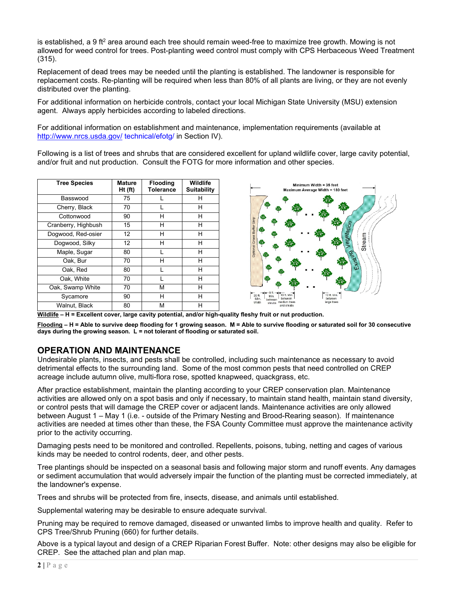is established, a 9 ft<sup>2</sup> area around each tree should remain weed-free to maximize tree growth. Mowing is not allowed for weed control for trees. Post-planting weed control must comply with CPS Herbaceous Weed Treatment (315).

Replacement of dead trees may be needed until the planting is established. The landowner is responsible for replacement costs. Re-planting will be required when less than 80% of all plants are living, or they are not evenly distributed over the planting.

For additional information on herbicide controls, contact your local Michigan State University (MSU) extension agent. Always apply herbicides according to labeled directions.

For additional information on establishment and maintenance, implementation requirements (available at <http://www.nrcs.usda.gov/> technical/efotg/ in Section IV).

Following is a list of trees and shrubs that are considered excellent for upland wildlife cover, large cavity potential, and/or fruit and nut production. Consult the FOTG for more information and other species.

| <b>Tree Species</b> | <b>Mature</b><br>Ht (ft) | <b>Flooding</b><br><b>Tolerance</b> | Wildlife<br><b>Suitability</b> |
|---------------------|--------------------------|-------------------------------------|--------------------------------|
| Basswood            | 75                       |                                     | н                              |
| Cherry, Black       | 70                       |                                     | н                              |
| Cottonwood          | 90                       | н                                   | н                              |
| Cranberry, Highbush | 15                       | н                                   | н                              |
| Dogwood, Red-osier  | 12                       | н                                   | н                              |
| Dogwood, Silky      | 12                       | н                                   | н                              |
| Maple, Sugar        | 80                       |                                     | н                              |
| Oak, Bur            | 70                       | н                                   | н                              |
| Oak, Red            | 80                       |                                     | н                              |
| Oak, White          | 70                       |                                     | н                              |
| Oak, Swamp White    | 70                       | М                                   | н                              |
| Sycamore            | 90                       | н                                   | н                              |
| Walnut, Black       | 80                       | М                                   | Н                              |
|                     |                          |                                     |                                |



**Wildlife – H = Excellent cover, large cavity potential, and/or high-quality fleshy fruit or nut production.**

**Flooding – H = Able to survive deep flooding for 1 growing season. M = Able to survive flooding or saturated soil for 30 consecutive days during the growing season. L = not tolerant of flooding or saturated soil.**

#### **OPERATION AND MAINTENANCE**

Undesirable plants, insects, and pests shall be controlled, including such maintenance as necessary to avoid detrimental effects to the surrounding land. Some of the most common pests that need controlled on CREP acreage include autumn olive, multi-flora rose, spotted knapweed, quackgrass, etc.

After practice establishment, maintain the planting according to your CREP conservation plan. Maintenance activities are allowed only on a spot basis and only if necessary, to maintain stand health, maintain stand diversity, or control pests that will damage the CREP cover or adjacent lands. Maintenance activities are only allowed between August 1 – May 1 (i.e. - outside of the Primary Nesting and Brood-Rearing season). If maintenance activities are needed at times other than these, the FSA County Committee must approve the maintenance activity prior to the activity occurring.

Damaging pests need to be monitored and controlled. Repellents, poisons, tubing, netting and cages of various kinds may be needed to control rodents, deer, and other pests.

Tree plantings should be inspected on a seasonal basis and following major storm and runoff events. Any damages or sediment accumulation that would adversely impair the function of the planting must be corrected immediately, at the landowner's expense.

Trees and shrubs will be protected from fire, insects, disease, and animals until established.

Supplemental watering may be desirable to ensure adequate survival.

Pruning may be required to remove damaged, diseased or unwanted limbs to improve health and quality. Refer to CPS Tree/Shrub Pruning (660) for further details.

Above is a typical layout and design of a CREP Riparian Forest Buffer. Note: other designs may also be eligible for CREP. See the attached plan and plan map.